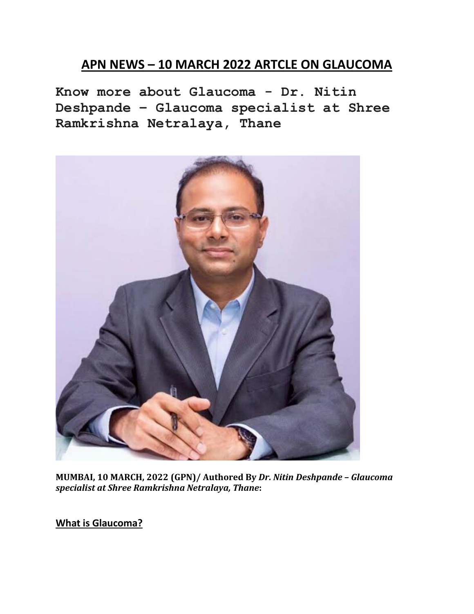# **APN NEWS – 10 MARCH 2022 ARTCLE ON GLAUCOMA**

**Know more about Glaucoma - Dr. Nitin Deshpande – Glaucoma specialist at Shree Ramkrishna Netralaya, Thane**



**MUMBAI, 10 MARCH, 2022 (GPN)/ Authored By** *Dr. Nitin Deshpande – Glaucoma specialist at Shree Ramkrishna Netralaya, Thane***:**

**What is Glaucoma?**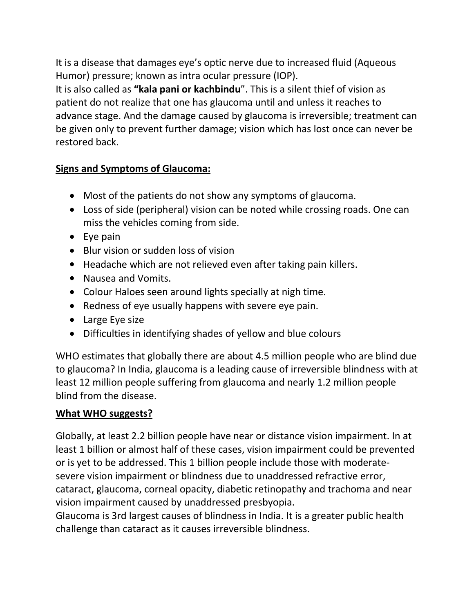It is a disease that damages eye's optic nerve due to increased fluid (Aqueous Humor) pressure; known as intra ocular pressure (IOP).

It is also called as **"kala pani or kachbindu**". This is a silent thief of vision as patient do not realize that one has glaucoma until and unless it reaches to advance stage. And the damage caused by glaucoma is irreversible; treatment can be given only to prevent further damage; vision which has lost once can never be restored back.

#### **Signs and Symptoms of Glaucoma:**

- Most of the patients do not show any symptoms of glaucoma.
- Loss of side (peripheral) vision can be noted while crossing roads. One can miss the vehicles coming from side.
- Eye pain
- Blur vision or sudden loss of vision
- Headache which are not relieved even after taking pain killers.
- Nausea and Vomits.
- Colour Haloes seen around lights specially at nigh time.
- Redness of eye usually happens with severe eye pain.
- Large Eye size
- Difficulties in identifying shades of yellow and blue colours

WHO estimates that globally there are about 4.5 million people who are blind due to glaucoma? In India, glaucoma is a leading cause of irreversible blindness with at least 12 million people suffering from glaucoma and nearly 1.2 million people blind from the disease.

## **What WHO suggests?**

Globally, at least 2.2 billion people have near or distance vision impairment. In at least 1 billion or almost half of these cases, vision impairment could be prevented or is yet to be addressed. This 1 billion people include those with moderate severe vision impairment or blindness due to unaddressed refractive error, cataract, glaucoma, corneal opacity, diabetic retinopathy and trachoma and near vision impairment caused by unaddressed presbyopia.

Glaucoma is 3rd largest causes of blindness in India. It is a greater public health challenge than cataract as it causes irreversible blindness.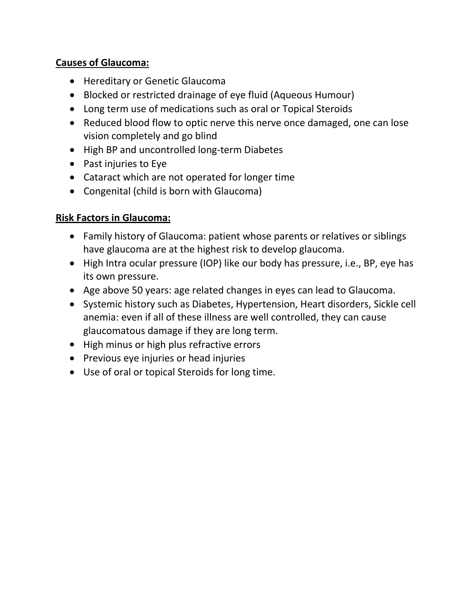## **Causes of Glaucoma:**

- Hereditary or Genetic Glaucoma
- Blocked or restricted drainage of eye fluid (Aqueous Humour)
- Long term use of medications such as oral or Topical Steroids
- Reduced blood flow to optic nerve this nerve once damaged, one can lose vision completely and go blind
- High BP and uncontrolled long-term Diabetes
- Past injuries to Eye
- Cataract which are not operated for longer time
- Congenital (child is born with Glaucoma)

## **Risk Factors in Glaucoma:**

- Family history of Glaucoma: patient whose parents or relatives or siblings have glaucoma are at the highest risk to develop glaucoma.
- High Intra ocular pressure (IOP) like our body has pressure, i.e., BP, eye has its own pressure.
- Age above 50 years: age related changes in eyes can lead to Glaucoma.
- Systemic history such as Diabetes, Hypertension, Heart disorders, Sickle cell anemia: even if all of these illness are well controlled, they can cause glaucomatous damage if they are long term.
- High minus or high plus refractive errors
- Previous eye injuries or head injuries
- Use of oral or topical Steroids for long time.